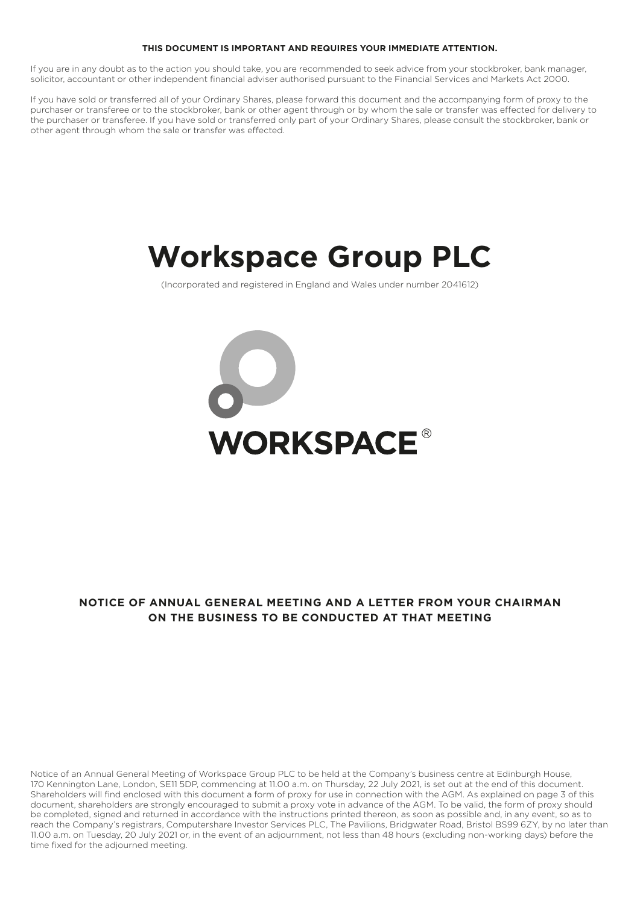# **THIS DOCUMENT IS IMPORTANT AND REQUIRES YOUR IMMEDIATE ATTENTION.**

If you are in any doubt as to the action you should take, you are recommended to seek advice from your stockbroker, bank manager, solicitor, accountant or other independent financial adviser authorised pursuant to the Financial Services and Markets Act 2000.

If you have sold or transferred all of your Ordinary Shares, please forward this document and the accompanying form of proxy to the purchaser or transferee or to the stockbroker, bank or other agent through or by whom the sale or transfer was effected for delivery to the purchaser or transferee. If you have sold or transferred only part of your Ordinary Shares, please consult the stockbroker, bank or other agent through whom the sale or transfer was effected.

# **Workspace Group PLC**

(Incorporated and registered in England and Wales under number 2041612)



# **NOTICE OF ANNUAL GENERAL MEETING AND A LETTER FROM YOUR CHAIRMAN ON THE BUSINESS TO BE CONDUCTED AT THAT MEETING**

Notice of an Annual General Meeting of Workspace Group PLC to be held at the Company's business centre at Edinburgh House, 170 Kennington Lane, London, SE11 5DP, commencing at 11.00 a.m. on Thursday, 22 July 2021, is set out at the end of this document. Shareholders will find enclosed with this document a form of proxy for use in connection with the AGM. As explained on page 3 of this document, shareholders are strongly encouraged to submit a proxy vote in advance of the AGM. To be valid, the form of proxy should be completed, signed and returned in accordance with the instructions printed thereon, as soon as possible and, in any event, so as to reach the Company's registrars, Computershare Investor Services PLC, The Pavilions, Bridgwater Road, Bristol BS99 6ZY, by no later than 11.00 a.m. on Tuesday, 20 July 2021 or, in the event of an adjournment, not less than 48 hours (excluding non-working days) before the time fixed for the adjourned meeting.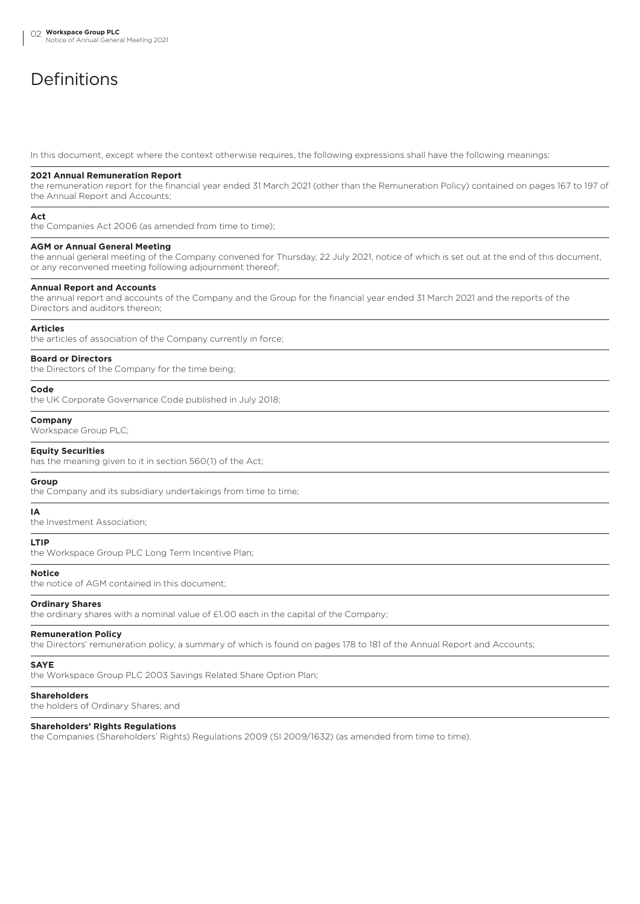# Definitions

In this document, except where the context otherwise requires, the following expressions shall have the following meanings:

#### **2021 Annual Remuneration Report**

the remuneration report for the financial year ended 31 March 2021 (other than the Remuneration Policy) contained on pages 167 to 197 of the Annual Report and Accounts;

# **Act**

the Companies Act 2006 (as amended from time to time);

#### **AGM or Annual General Meeting**

the annual general meeting of the Company convened for Thursday, 22 July 2021, notice of which is set out at the end of this document, or any reconvened meeting following adjournment thereof;

#### **Annual Report and Accounts**

the annual report and accounts of the Company and the Group for the financial year ended 31 March 2021 and the reports of the Directors and auditors thereon;

### **Articles**

the articles of association of the Company currently in force;

# **Board or Directors**

the Directors of the Company for the time being;

#### **Code**

the UK Corporate Governance Code published in July 2018;

# **Company**

Workspace Group PLC;

#### **Equity Securities**

has the meaning given to it in section 560(1) of the Act;

#### **Group**

the Company and its subsidiary undertakings from time to time;

# **IA**

the Investment Association;

## **LTIP**

the Workspace Group PLC Long Term Incentive Plan;

# **Notice**

the notice of AGM contained in this document;

## **Ordinary Shares**

the ordinary shares with a nominal value of £1.00 each in the capital of the Company;

## **Remuneration Policy**

the Directors' remuneration policy, a summary of which is found on pages 178 to 181 of the Annual Report and Accounts;

# **SAYE**

the Workspace Group PLC 2003 Savings Related Share Option Plan;

# **Shareholders**

the holders of Ordinary Shares; and

# **Shareholders' Rights Regulations**

the Companies (Shareholders' Rights) Regulations 2009 (SI 2009/1632) (as amended from time to time).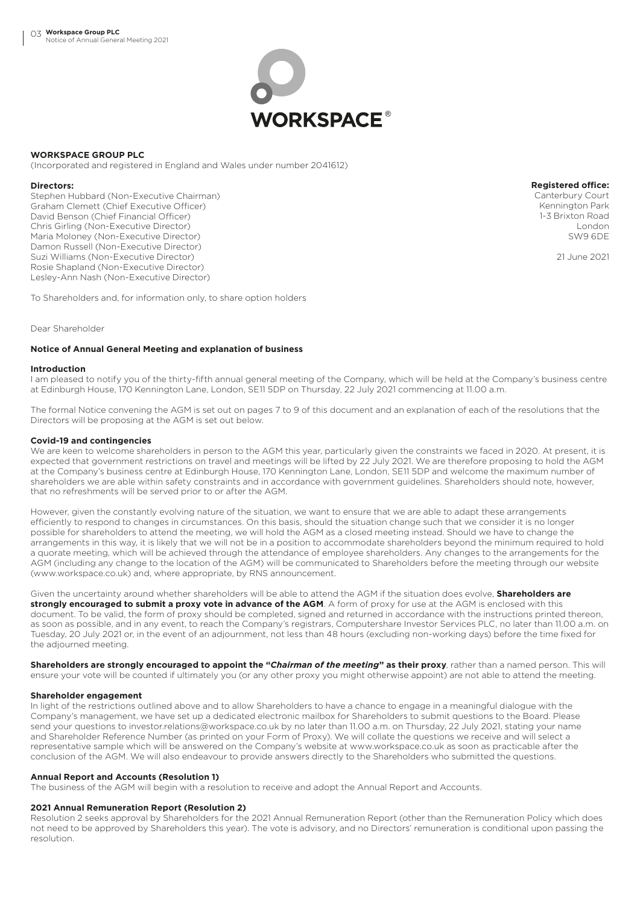

# **WORKSPACE GROUP PLC**

(Incorporated and registered in England and Wales under number 2041612)

## **Directors:**

Stephen Hubbard (Non-Executive Chairman) Graham Clemett (Chief Executive Officer) David Benson (Chief Financial Officer) Chris Girling (Non-Executive Director) Maria Moloney (Non-Executive Director) Damon Russell (Non-Executive Director) Suzi Williams (Non-Executive Director) Rosie Shapland (Non-Executive Director) Lesley-Ann Nash (Non-Executive Director)

**Registered office:** Canterbury Court Kennington Park 1-3 Brixton Road London SW9 6DE

21 June 2021

To Shareholders and, for information only, to share option holders

Dear Shareholder

# **Notice of Annual General Meeting and explanation of business**

## **Introduction**

I am pleased to notify you of the thirty-fifth annual general meeting of the Company, which will be held at the Company's business centre at Edinburgh House, 170 Kennington Lane, London, SE11 5DP on Thursday, 22 July 2021 commencing at 11.00 a.m.

The formal Notice convening the AGM is set out on pages 7 to 9 of this document and an explanation of each of the resolutions that the Directors will be proposing at the AGM is set out below.

# **Covid-19 and contingencies**

We are keen to welcome shareholders in person to the AGM this year, particularly given the constraints we faced in 2020. At present, it is expected that government restrictions on travel and meetings will be lifted by 22 July 2021. We are therefore proposing to hold the AGM at the Company's business centre at Edinburgh House, 170 Kennington Lane, London, SE11 5DP and welcome the maximum number of shareholders we are able within safety constraints and in accordance with government guidelines. Shareholders should note, however, that no refreshments will be served prior to or after the AGM.

However, given the constantly evolving nature of the situation, we want to ensure that we are able to adapt these arrangements efficiently to respond to changes in circumstances. On this basis, should the situation change such that we consider it is no longer possible for shareholders to attend the meeting, we will hold the AGM as a closed meeting instead. Should we have to change the arrangements in this way, it is likely that we will not be in a position to accommodate shareholders beyond the minimum required to hold a quorate meeting, which will be achieved through the attendance of employee shareholders. Any changes to the arrangements for the AGM (including any change to the location of the AGM) will be communicated to Shareholders before the meeting through our website (www.workspace.co.uk) and, where appropriate, by RNS announcement.

Given the uncertainty around whether shareholders will be able to attend the AGM if the situation does evolve, **Shareholders are strongly encouraged to submit a proxy vote in advance of the AGM**. A form of proxy for use at the AGM is enclosed with this document. To be valid, the form of proxy should be completed, signed and returned in accordance with the instructions printed thereon, as soon as possible, and in any event, to reach the Company's registrars, Computershare Investor Services PLC, no later than 11.00 a.m. on Tuesday, 20 July 2021 or, in the event of an adjournment, not less than 48 hours (excluding non-working days) before the time fixed for the adjourned meeting.

**Shareholders are strongly encouraged to appoint the "***Chairman of the meeting***" as their proxy**, rather than a named person. This will ensure your vote will be counted if ultimately you (or any other proxy you might otherwise appoint) are not able to attend the meeting.

# **Shareholder engagement**

In light of the restrictions outlined above and to allow Shareholders to have a chance to engage in a meaningful dialogue with the Company's management, we have set up a dedicated electronic mailbox for Shareholders to submit questions to the Board. Please send your questions to investor.relations@workspace.co.uk by no later than 11.00 a.m. on Thursday, 22 July 2021, stating your name and Shareholder Reference Number (as printed on your Form of Proxy). We will collate the questions we receive and will select a representative sample which will be answered on the Company's website at www.workspace.co.uk as soon as practicable after the conclusion of the AGM. We will also endeavour to provide answers directly to the Shareholders who submitted the questions.

## **Annual Report and Accounts (Resolution 1)**

The business of the AGM will begin with a resolution to receive and adopt the Annual Report and Accounts.

## **2021 Annual Remuneration Report (Resolution 2)**

Resolution 2 seeks approval by Shareholders for the 2021 Annual Remuneration Report (other than the Remuneration Policy which does not need to be approved by Shareholders this year). The vote is advisory, and no Directors' remuneration is conditional upon passing the resolution.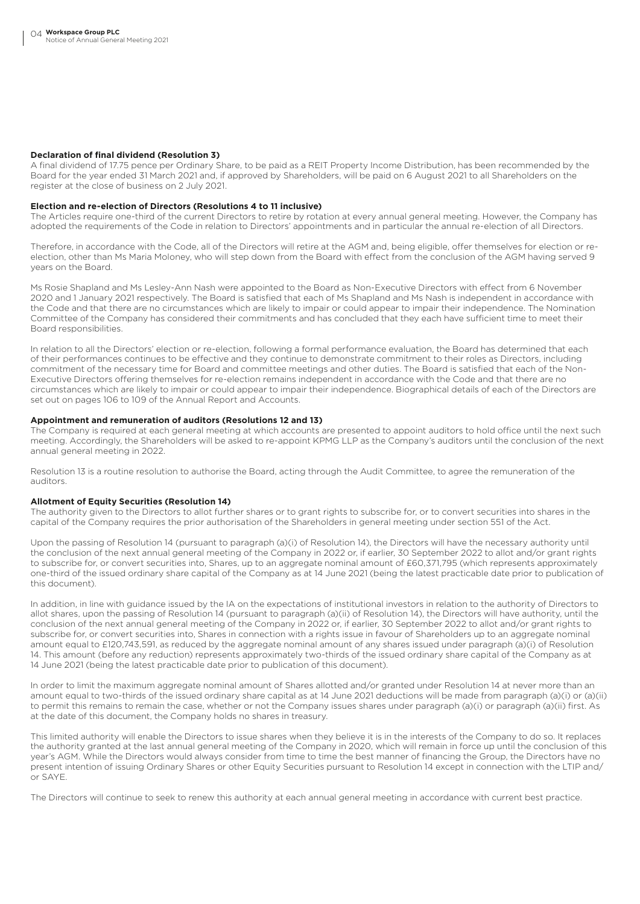# **Declaration of final dividend (Resolution 3)**

A final dividend of 17.75 pence per Ordinary Share, to be paid as a REIT Property Income Distribution, has been recommended by the Board for the year ended 31 March 2021 and, if approved by Shareholders, will be paid on 6 August 2021 to all Shareholders on the register at the close of business on 2 July 2021.

### **Election and re-election of Directors (Resolutions 4 to 11 inclusive)**

The Articles require one-third of the current Directors to retire by rotation at every annual general meeting. However, the Company has adopted the requirements of the Code in relation to Directors' appointments and in particular the annual re-election of all Directors.

Therefore, in accordance with the Code, all of the Directors will retire at the AGM and, being eligible, offer themselves for election or reelection, other than Ms Maria Moloney, who will step down from the Board with effect from the conclusion of the AGM having served 9 years on the Board.

Ms Rosie Shapland and Ms Lesley-Ann Nash were appointed to the Board as Non-Executive Directors with effect from 6 November 2020 and 1 January 2021 respectively. The Board is satisfied that each of Ms Shapland and Ms Nash is independent in accordance with the Code and that there are no circumstances which are likely to impair or could appear to impair their independence. The Nomination Committee of the Company has considered their commitments and has concluded that they each have sufficient time to meet their Board responsibilities.

In relation to all the Directors' election or re-election, following a formal performance evaluation, the Board has determined that each of their performances continues to be effective and they continue to demonstrate commitment to their roles as Directors, including commitment of the necessary time for Board and committee meetings and other duties. The Board is satisfied that each of the Non-Executive Directors offering themselves for re-election remains independent in accordance with the Code and that there are no circumstances which are likely to impair or could appear to impair their independence. Biographical details of each of the Directors are set out on pages 106 to 109 of the Annual Report and Accounts.

## **Appointment and remuneration of auditors (Resolutions 12 and 13)**

The Company is required at each general meeting at which accounts are presented to appoint auditors to hold office until the next such meeting. Accordingly, the Shareholders will be asked to re-appoint KPMG LLP as the Company's auditors until the conclusion of the next annual general meeting in 2022.

Resolution 13 is a routine resolution to authorise the Board, acting through the Audit Committee, to agree the remuneration of the auditors.

# **Allotment of Equity Securities (Resolution 14)**

The authority given to the Directors to allot further shares or to grant rights to subscribe for, or to convert securities into shares in the capital of the Company requires the prior authorisation of the Shareholders in general meeting under section 551 of the Act.

Upon the passing of Resolution 14 (pursuant to paragraph (a)(i) of Resolution 14), the Directors will have the necessary authority until the conclusion of the next annual general meeting of the Company in 2022 or, if earlier, 30 September 2022 to allot and/or grant rights to subscribe for, or convert securities into, Shares, up to an aggregate nominal amount of £60,371,795 (which represents approximately one-third of the issued ordinary share capital of the Company as at 14 June 2021 (being the latest practicable date prior to publication of this document).

In addition, in line with guidance issued by the IA on the expectations of institutional investors in relation to the authority of Directors to allot shares, upon the passing of Resolution 14 (pursuant to paragraph (a)(ii) of Resolution 14), the Directors will have authority, until the conclusion of the next annual general meeting of the Company in 2022 or, if earlier, 30 September 2022 to allot and/or grant rights to subscribe for, or convert securities into, Shares in connection with a rights issue in favour of Shareholders up to an aggregate nominal amount equal to £120,743,591, as reduced by the aggregate nominal amount of any shares issued under paragraph (a)(i) of Resolution 14. This amount (before any reduction) represents approximately two-thirds of the issued ordinary share capital of the Company as at 14 June 2021 (being the latest practicable date prior to publication of this document).

In order to limit the maximum aggregate nominal amount of Shares allotted and/or granted under Resolution 14 at never more than an amount equal to two-thirds of the issued ordinary share capital as at 14 June 2021 deductions will be made from paragraph (a)(i) or (a)(ii) to permit this remains to remain the case, whether or not the Company issues shares under paragraph (a)(i) or paragraph (a)(ii) first. As at the date of this document, the Company holds no shares in treasury.

This limited authority will enable the Directors to issue shares when they believe it is in the interests of the Company to do so. It replaces the authority granted at the last annual general meeting of the Company in 2020, which will remain in force up until the conclusion of this year's AGM. While the Directors would always consider from time to time the best manner of financing the Group, the Directors have no present intention of issuing Ordinary Shares or other Equity Securities pursuant to Resolution 14 except in connection with the LTIP and/ or SAYE.

The Directors will continue to seek to renew this authority at each annual general meeting in accordance with current best practice.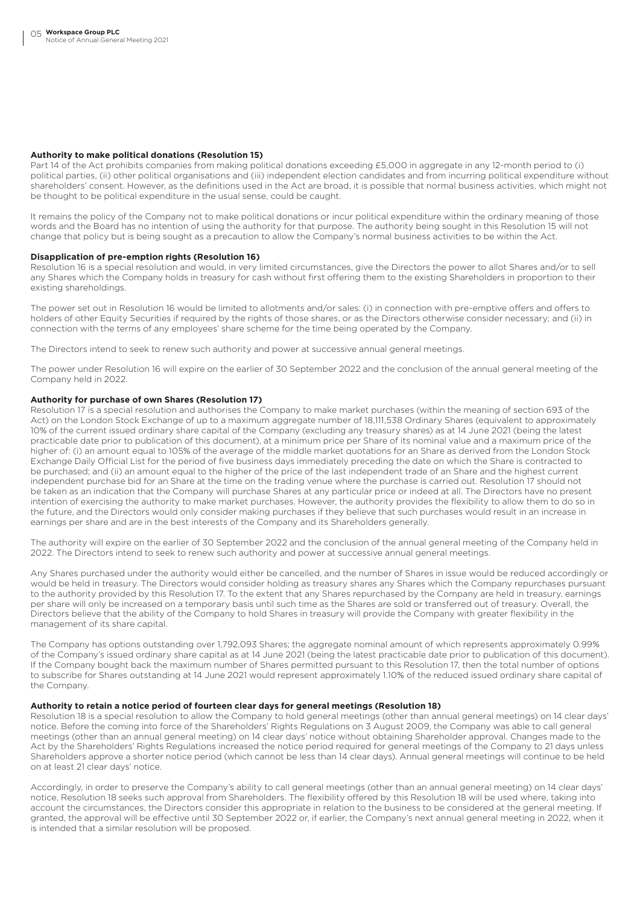# **Authority to make political donations (Resolution 15)**

Part 14 of the Act prohibits companies from making political donations exceeding £5,000 in aggregate in any 12-month period to (i) political parties, (ii) other political organisations and (iii) independent election candidates and from incurring political expenditure without shareholders' consent. However, as the definitions used in the Act are broad, it is possible that normal business activities, which might not be thought to be political expenditure in the usual sense, could be caught.

It remains the policy of the Company not to make political donations or incur political expenditure within the ordinary meaning of those words and the Board has no intention of using the authority for that purpose. The authority being sought in this Resolution 15 will not change that policy but is being sought as a precaution to allow the Company's normal business activities to be within the Act.

# **Disapplication of pre-emption rights (Resolution 16)**

Resolution 16 is a special resolution and would, in very limited circumstances, give the Directors the power to allot Shares and/or to sell any Shares which the Company holds in treasury for cash without first offering them to the existing Shareholders in proportion to their existing shareholdings.

The power set out in Resolution 16 would be limited to allotments and/or sales: (i) in connection with pre-emptive offers and offers to holders of other Equity Securities if required by the rights of those shares, or as the Directors otherwise consider necessary; and (ii) in connection with the terms of any employees' share scheme for the time being operated by the Company.

The Directors intend to seek to renew such authority and power at successive annual general meetings.

The power under Resolution 16 will expire on the earlier of 30 September 2022 and the conclusion of the annual general meeting of the Company held in 2022.

## **Authority for purchase of own Shares (Resolution 17)**

Resolution 17 is a special resolution and authorises the Company to make market purchases (within the meaning of section 693 of the Act) on the London Stock Exchange of up to a maximum aggregate number of 18,111,538 Ordinary Shares (equivalent to approximately 10% of the current issued ordinary share capital of the Company (excluding any treasury shares) as at 14 June 2021 (being the latest practicable date prior to publication of this document), at a minimum price per Share of its nominal value and a maximum price of the higher of: (i) an amount equal to 105% of the average of the middle market quotations for an Share as derived from the London Stock Exchange Daily Official List for the period of five business days immediately preceding the date on which the Share is contracted to be purchased; and (ii) an amount equal to the higher of the price of the last independent trade of an Share and the highest current independent purchase bid for an Share at the time on the trading venue where the purchase is carried out. Resolution 17 should not be taken as an indication that the Company will purchase Shares at any particular price or indeed at all. The Directors have no present intention of exercising the authority to make market purchases. However, the authority provides the flexibility to allow them to do so in the future, and the Directors would only consider making purchases if they believe that such purchases would result in an increase in earnings per share and are in the best interests of the Company and its Shareholders generally.

The authority will expire on the earlier of 30 September 2022 and the conclusion of the annual general meeting of the Company held in 2022. The Directors intend to seek to renew such authority and power at successive annual general meetings.

Any Shares purchased under the authority would either be cancelled, and the number of Shares in issue would be reduced accordingly or would be held in treasury. The Directors would consider holding as treasury shares any Shares which the Company repurchases pursuant to the authority provided by this Resolution 17. To the extent that any Shares repurchased by the Company are held in treasury, earnings per share will only be increased on a temporary basis until such time as the Shares are sold or transferred out of treasury. Overall, the Directors believe that the ability of the Company to hold Shares in treasury will provide the Company with greater flexibility in the management of its share capital.

The Company has options outstanding over 1,792,093 Shares; the aggregate nominal amount of which represents approximately 0.99% of the Company's issued ordinary share capital as at 14 June 2021 (being the latest practicable date prior to publication of this document). If the Company bought back the maximum number of Shares permitted pursuant to this Resolution 17, then the total number of options to subscribe for Shares outstanding at 14 June 2021 would represent approximately 1.10% of the reduced issued ordinary share capital of the Company.

#### **Authority to retain a notice period of fourteen clear days for general meetings (Resolution 18)**

Resolution 18 is a special resolution to allow the Company to hold general meetings (other than annual general meetings) on 14 clear days' notice. Before the coming into force of the Shareholders' Rights Regulations on 3 August 2009, the Company was able to call general meetings (other than an annual general meeting) on 14 clear days' notice without obtaining Shareholder approval. Changes made to the Act by the Shareholders' Rights Regulations increased the notice period required for general meetings of the Company to 21 days unless Shareholders approve a shorter notice period (which cannot be less than 14 clear days). Annual general meetings will continue to be held on at least 21 clear days' notice.

Accordingly, in order to preserve the Company's ability to call general meetings (other than an annual general meeting) on 14 clear days' notice, Resolution 18 seeks such approval from Shareholders. The flexibility offered by this Resolution 18 will be used where, taking into account the circumstances, the Directors consider this appropriate in relation to the business to be considered at the general meeting. If granted, the approval will be effective until 30 September 2022 or, if earlier, the Company's next annual general meeting in 2022, when it is intended that a similar resolution will be proposed.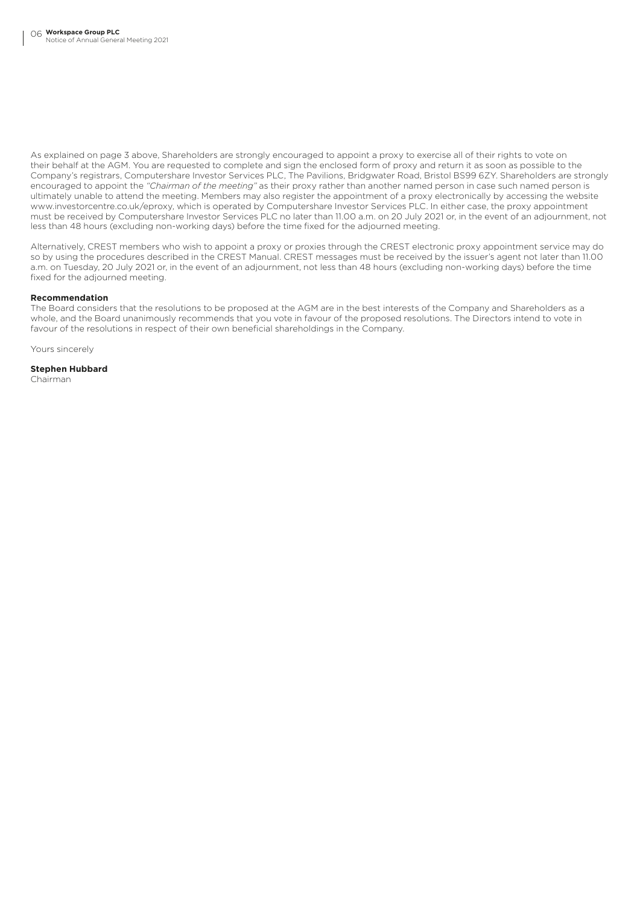As explained on page 3 above, Shareholders are strongly encouraged to appoint a proxy to exercise all of their rights to vote on their behalf at the AGM. You are requested to complete and sign the enclosed form of proxy and return it as soon as possible to the Company's registrars, Computershare Investor Services PLC, The Pavilions, Bridgwater Road, Bristol BS99 6ZY. Shareholders are strongly encouraged to appoint the *"Chairman of the meeting"* as their proxy rather than another named person in case such named person is ultimately unable to attend the meeting. Members may also register the appointment of a proxy electronically by accessing the website www.investorcentre.co.uk/eproxy, which is operated by Computershare Investor Services PLC. In either case, the proxy appointment must be received by Computershare Investor Services PLC no later than 11.00 a.m. on 20 July 2021 or, in the event of an adjournment, not less than 48 hours (excluding non-working days) before the time fixed for the adjourned meeting.

Alternatively, CREST members who wish to appoint a proxy or proxies through the CREST electronic proxy appointment service may do so by using the procedures described in the CREST Manual. CREST messages must be received by the issuer's agent not later than 11.00 a.m. on Tuesday, 20 July 2021 or, in the event of an adjournment, not less than 48 hours (excluding non-working days) before the time fixed for the adjourned meeting.

# **Recommendation**

The Board considers that the resolutions to be proposed at the AGM are in the best interests of the Company and Shareholders as a whole, and the Board unanimously recommends that you vote in favour of the proposed resolutions. The Directors intend to vote in favour of the resolutions in respect of their own beneficial shareholdings in the Company.

Yours sincerely

**Stephen Hubbard** Chairman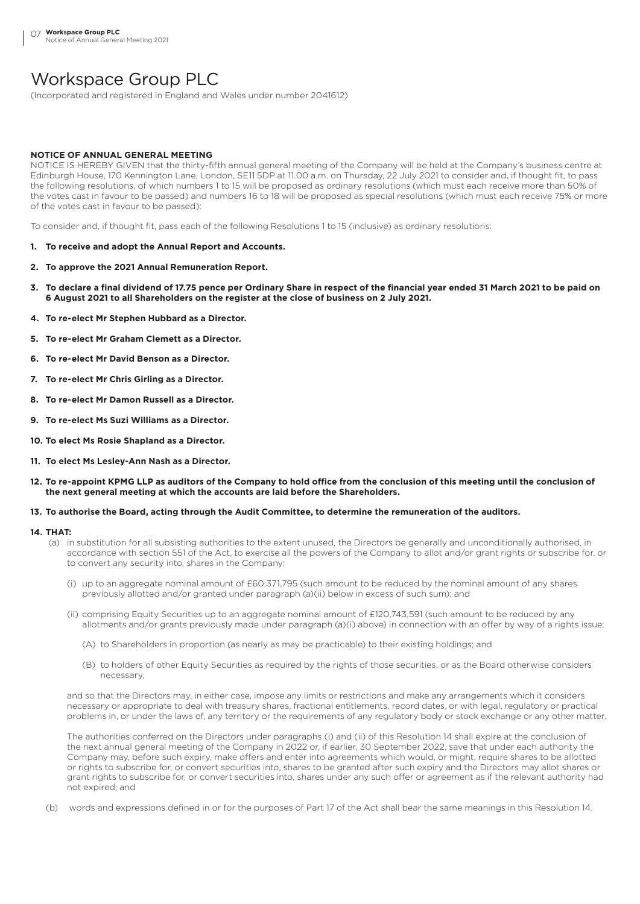# Workspace Group PLC

(Incorporated and registered in England and Wales under number 2041612)

# **NOTICE OF ANNUAL GENERAL MEETING**

NOTICE IS HEREBY GIVEN that the thirty-fifth annual general meeting of the Company will be held at the Company's business centre at Edinburgh House, 170 Kennington Lane, London, SE11 5DP at 11.00 a.m. on Thursday, 22 July 2021 to consider and, if thought fit, to pass the following resolutions, of which numbers 1 to 15 will be proposed as ordinary resolutions (which must each receive more than 50% of the votes cast in favour to be passed) and numbers 16 to 18 will be proposed as special resolutions (which must each receive 75% or more of the votes cast in favour to be passed):

To consider and, if thought fit, pass each of the following Resolutions 1 to 15 (inclusive) as ordinary resolutions:

- **1. To receive and adopt the Annual Report and Accounts.**
- **2. To approve the 2021 Annual Remuneration Report.**
- **3. To declare a final dividend of 17.75 pence per Ordinary Share in respect of the financial year ended 31 March 2021 to be paid on 6 August 2021 to all Shareholders on the register at the close of business on 2 July 2021.**
- **4. To re-elect Mr Stephen Hubbard as a Director.**
- **5. To re-elect Mr Graham Clemett as a Director.**
- **6. To re-elect Mr David Benson as a Director.**
- **7. To re-elect Mr Chris Girling as a Director.**
- **8. To re-elect Mr Damon Russell as a Director.**
- **9. To re-elect Ms Suzi Williams as a Director.**
- **10. To elect Ms Rosie Shapland as a Director.**
- **11. To elect Ms Lesley-Ann Nash as a Director.**
- **12. To re-appoint KPMG LLP as auditors of the Company to hold office from the conclusion of this meeting until the conclusion of the next general meeting at which the accounts are laid before the Shareholders.**

# **13. To authorise the Board, acting through the Audit Committee, to determine the remuneration of the auditors.**

## **14. THAT:**

- (a) in substitution for all subsisting authorities to the extent unused, the Directors be generally and unconditionally authorised, in accordance with section 551 of the Act, to exercise all the powers of the Company to allot and/or grant rights or subscribe for, or to convert any security into, shares in the Company:
	- (i) up to an aggregate nominal amount of £60,371,795 (such amount to be reduced by the nominal amount of any shares previously allotted and/or granted under paragraph (a)(ii) below in excess of such sum); and
	- (ii) comprising Equity Securities up to an aggregate nominal amount of £120,743,591 (such amount to be reduced by any allotments and/or grants previously made under paragraph (a)(i) above) in connection with an offer by way of a rights issue:
		- (A) to Shareholders in proportion (as nearly as may be practicable) to their existing holdings; and
		- (B) to holders of other Equity Securities as required by the rights of those securities, or as the Board otherwise considers necessary,

and so that the Directors may, in either case, impose any limits or restrictions and make any arrangements which it considers necessary or appropriate to deal with treasury shares, fractional entitlements, record dates, or with legal, regulatory or practical problems in, or under the laws of, any territory or the requirements of any regulatory body or stock exchange or any other matter.

The authorities conferred on the Directors under paragraphs (i) and (ii) of this Resolution 14 shall expire at the conclusion of the next annual general meeting of the Company in 2022 or, if earlier, 30 September 2022, save that under each authority the Company may, before such expiry, make offers and enter into agreements which would, or might, require shares to be allotted or rights to subscribe for, or convert securities into, shares to be granted after such expiry and the Directors may allot shares or grant rights to subscribe for, or convert securities into, shares under any such offer or agreement as if the relevant authority had not expired; and

(b) words and expressions defined in or for the purposes of Part 17 of the Act shall bear the same meanings in this Resolution 14.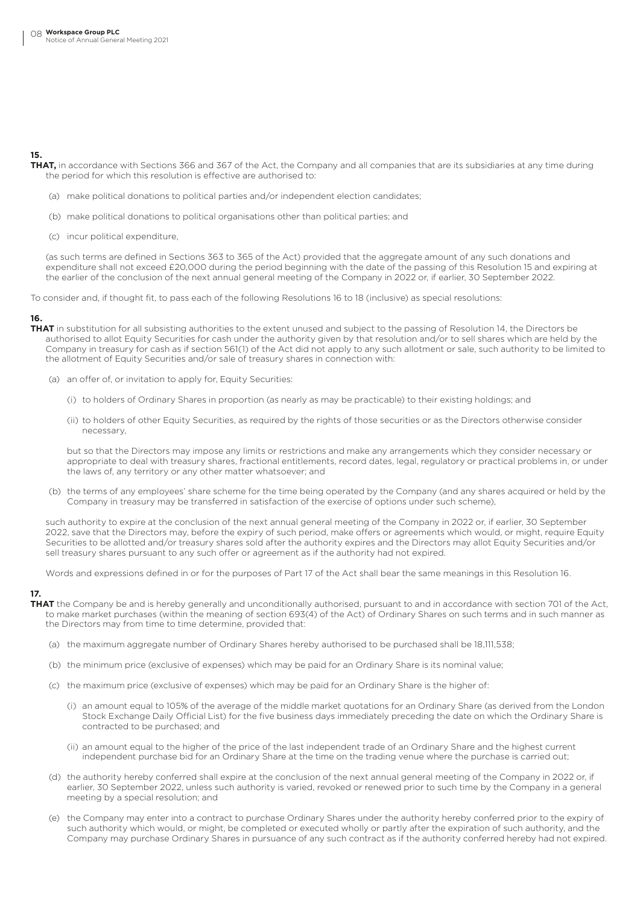# **15.**

**THAT,** in accordance with Sections 366 and 367 of the Act, the Company and all companies that are its subsidiaries at any time during the period for which this resolution is effective are authorised to:

- (a) make political donations to political parties and/or independent election candidates;
- (b) make political donations to political organisations other than political parties; and
- (c) incur political expenditure,

(as such terms are defined in Sections 363 to 365 of the Act) provided that the aggregate amount of any such donations and expenditure shall not exceed £20,000 during the period beginning with the date of the passing of this Resolution 15 and expiring at the earlier of the conclusion of the next annual general meeting of the Company in 2022 or, if earlier, 30 September 2022.

To consider and, if thought fit, to pass each of the following Resolutions 16 to 18 (inclusive) as special resolutions:

# **16.**

**THAT** in substitution for all subsisting authorities to the extent unused and subject to the passing of Resolution 14, the Directors be authorised to allot Equity Securities for cash under the authority given by that resolution and/or to sell shares which are held by the Company in treasury for cash as if section 561(1) of the Act did not apply to any such allotment or sale, such authority to be limited to the allotment of Equity Securities and/or sale of treasury shares in connection with:

- (a) an offer of, or invitation to apply for, Equity Securities:
	- (i) to holders of Ordinary Shares in proportion (as nearly as may be practicable) to their existing holdings; and
	- (ii) to holders of other Equity Securities, as required by the rights of those securities or as the Directors otherwise consider necessary,

but so that the Directors may impose any limits or restrictions and make any arrangements which they consider necessary or appropriate to deal with treasury shares, fractional entitlements, record dates, legal, regulatory or practical problems in, or under the laws of, any territory or any other matter whatsoever; and

(b) the terms of any employees' share scheme for the time being operated by the Company (and any shares acquired or held by the Company in treasury may be transferred in satisfaction of the exercise of options under such scheme),

such authority to expire at the conclusion of the next annual general meeting of the Company in 2022 or, if earlier, 30 September 2022, save that the Directors may, before the expiry of such period, make offers or agreements which would, or might, require Equity Securities to be allotted and/or treasury shares sold after the authority expires and the Directors may allot Equity Securities and/or sell treasury shares pursuant to any such offer or agreement as if the authority had not expired.

Words and expressions defined in or for the purposes of Part 17 of the Act shall bear the same meanings in this Resolution 16.

# **17.**

- **THAT** the Company be and is hereby generally and unconditionally authorised, pursuant to and in accordance with section 701 of the Act, to make market purchases (within the meaning of section 693(4) of the Act) of Ordinary Shares on such terms and in such manner as the Directors may from time to time determine, provided that:
	- (a) the maximum aggregate number of Ordinary Shares hereby authorised to be purchased shall be 18,111,538;
	- (b) the minimum price (exclusive of expenses) which may be paid for an Ordinary Share is its nominal value;
	- (c) the maximum price (exclusive of expenses) which may be paid for an Ordinary Share is the higher of:
		- (i) an amount equal to 105% of the average of the middle market quotations for an Ordinary Share (as derived from the London Stock Exchange Daily Official List) for the five business days immediately preceding the date on which the Ordinary Share is contracted to be purchased; and
		- (ii) an amount equal to the higher of the price of the last independent trade of an Ordinary Share and the highest current independent purchase bid for an Ordinary Share at the time on the trading venue where the purchase is carried out;
	- (d) the authority hereby conferred shall expire at the conclusion of the next annual general meeting of the Company in 2022 or, if earlier, 30 September 2022, unless such authority is varied, revoked or renewed prior to such time by the Company in a general meeting by a special resolution; and
	- (e) the Company may enter into a contract to purchase Ordinary Shares under the authority hereby conferred prior to the expiry of such authority which would, or might, be completed or executed wholly or partly after the expiration of such authority, and the Company may purchase Ordinary Shares in pursuance of any such contract as if the authority conferred hereby had not expired.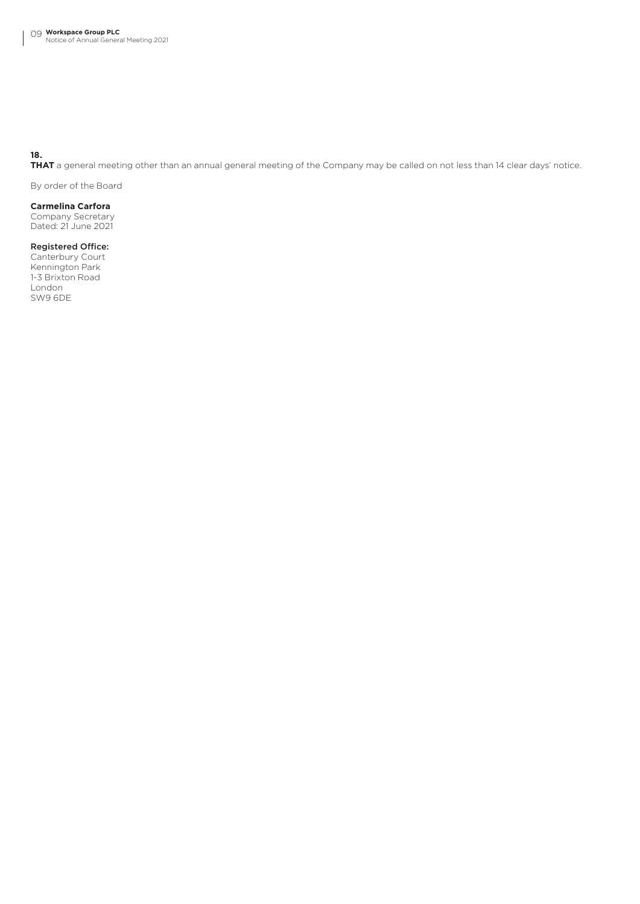**18.**

**THAT** a general meeting other than an annual general meeting of the Company may be called on not less than 14 clear days' notice.

By order of the Board

**Carmelina Carfora**  Company Secretary

Dated: 21 June 2021

# Registered Office:

Canterbury Court Kennington Park 1-3 Brixton Road London SW9 6DE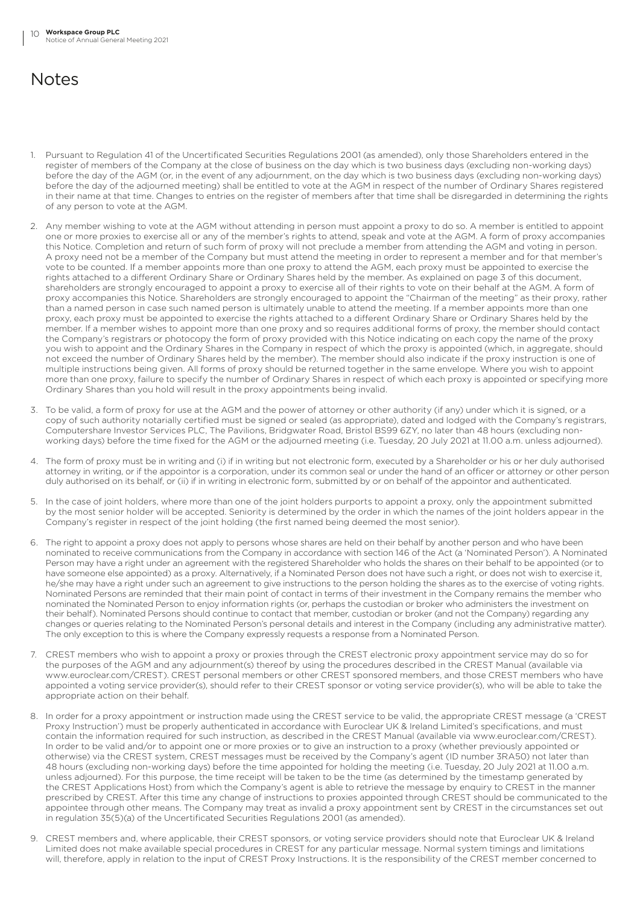# **Notes**

- 1. Pursuant to Regulation 41 of the Uncertificated Securities Regulations 2001 (as amended), only those Shareholders entered in the register of members of the Company at the close of business on the day which is two business days (excluding non-working days) before the day of the AGM (or, in the event of any adjournment, on the day which is two business days (excluding non-working days) before the day of the adjourned meeting) shall be entitled to vote at the AGM in respect of the number of Ordinary Shares registered in their name at that time. Changes to entries on the register of members after that time shall be disregarded in determining the rights of any person to vote at the AGM.
- 2. Any member wishing to vote at the AGM without attending in person must appoint a proxy to do so. A member is entitled to appoint one or more proxies to exercise all or any of the member's rights to attend, speak and vote at the AGM. A form of proxy accompanies this Notice. Completion and return of such form of proxy will not preclude a member from attending the AGM and voting in person. A proxy need not be a member of the Company but must attend the meeting in order to represent a member and for that member's vote to be counted. If a member appoints more than one proxy to attend the AGM, each proxy must be appointed to exercise the rights attached to a different Ordinary Share or Ordinary Shares held by the member. As explained on page 3 of this document, shareholders are strongly encouraged to appoint a proxy to exercise all of their rights to vote on their behalf at the AGM. A form of proxy accompanies this Notice. Shareholders are strongly encouraged to appoint the "Chairman of the meeting" as their proxy, rather than a named person in case such named person is ultimately unable to attend the meeting. If a member appoints more than one proxy, each proxy must be appointed to exercise the rights attached to a different Ordinary Share or Ordinary Shares held by the member. If a member wishes to appoint more than one proxy and so requires additional forms of proxy, the member should contact the Company's registrars or photocopy the form of proxy provided with this Notice indicating on each copy the name of the proxy you wish to appoint and the Ordinary Shares in the Company in respect of which the proxy is appointed (which, in aggregate, should not exceed the number of Ordinary Shares held by the member). The member should also indicate if the proxy instruction is one of multiple instructions being given. All forms of proxy should be returned together in the same envelope. Where you wish to appoint more than one proxy, failure to specify the number of Ordinary Shares in respect of which each proxy is appointed or specifying more Ordinary Shares than you hold will result in the proxy appointments being invalid.
- 3. To be valid, a form of proxy for use at the AGM and the power of attorney or other authority (if any) under which it is signed, or a copy of such authority notarially certified must be signed or sealed (as appropriate), dated and lodged with the Company's registrars, Computershare Investor Services PLC, The Pavilions, Bridgwater Road, Bristol BS99 6ZY, no later than 48 hours (excluding nonworking days) before the time fixed for the AGM or the adjourned meeting (i.e. Tuesday, 20 July 2021 at 11.00 a.m. unless adjourned).
- 4. The form of proxy must be in writing and (i) if in writing but not electronic form, executed by a Shareholder or his or her duly authorised attorney in writing, or if the appointor is a corporation, under its common seal or under the hand of an officer or attorney or other person duly authorised on its behalf, or (ii) if in writing in electronic form, submitted by or on behalf of the appointor and authenticated.
- 5. In the case of joint holders, where more than one of the joint holders purports to appoint a proxy, only the appointment submitted by the most senior holder will be accepted. Seniority is determined by the order in which the names of the joint holders appear in the Company's register in respect of the joint holding (the first named being deemed the most senior).
- 6. The right to appoint a proxy does not apply to persons whose shares are held on their behalf by another person and who have been nominated to receive communications from the Company in accordance with section 146 of the Act (a 'Nominated Person'). A Nominated Person may have a right under an agreement with the registered Shareholder who holds the shares on their behalf to be appointed (or to have someone else appointed) as a proxy. Alternatively, if a Nominated Person does not have such a right, or does not wish to exercise it, he/she may have a right under such an agreement to give instructions to the person holding the shares as to the exercise of voting rights. Nominated Persons are reminded that their main point of contact in terms of their investment in the Company remains the member who nominated the Nominated Person to enjoy information rights (or, perhaps the custodian or broker who administers the investment on their behalf). Nominated Persons should continue to contact that member, custodian or broker (and not the Company) regarding any changes or queries relating to the Nominated Person's personal details and interest in the Company (including any administrative matter). The only exception to this is where the Company expressly requests a response from a Nominated Person.
- 7. CREST members who wish to appoint a proxy or proxies through the CREST electronic proxy appointment service may do so for the purposes of the AGM and any adjournment(s) thereof by using the procedures described in the CREST Manual (available via www.euroclear.com/CREST). CREST personal members or other CREST sponsored members, and those CREST members who have appointed a voting service provider(s), should refer to their CREST sponsor or voting service provider(s), who will be able to take the appropriate action on their behalf.
- 8. In order for a proxy appointment or instruction made using the CREST service to be valid, the appropriate CREST message (a 'CREST Proxy Instruction') must be properly authenticated in accordance with Euroclear UK & Ireland Limited's specifications, and must contain the information required for such instruction, as described in the CREST Manual (available via www.euroclear.com/CREST). In order to be valid and/or to appoint one or more proxies or to give an instruction to a proxy (whether previously appointed or otherwise) via the CREST system, CREST messages must be received by the Company's agent (ID number 3RA50) not later than 48 hours (excluding non-working days) before the time appointed for holding the meeting (i.e. Tuesday, 20 July 2021 at 11.00 a.m. unless adjourned). For this purpose, the time receipt will be taken to be the time (as determined by the timestamp generated by the CREST Applications Host) from which the Company's agent is able to retrieve the message by enquiry to CREST in the manner prescribed by CREST. After this time any change of instructions to proxies appointed through CREST should be communicated to the appointee through other means. The Company may treat as invalid a proxy appointment sent by CREST in the circumstances set out in regulation 35(5)(a) of the Uncertificated Securities Regulations 2001 (as amended).
- 9. CREST members and, where applicable, their CREST sponsors, or voting service providers should note that Euroclear UK & Ireland Limited does not make available special procedures in CREST for any particular message. Normal system timings and limitations will, therefore, apply in relation to the input of CREST Proxy Instructions. It is the responsibility of the CREST member concerned to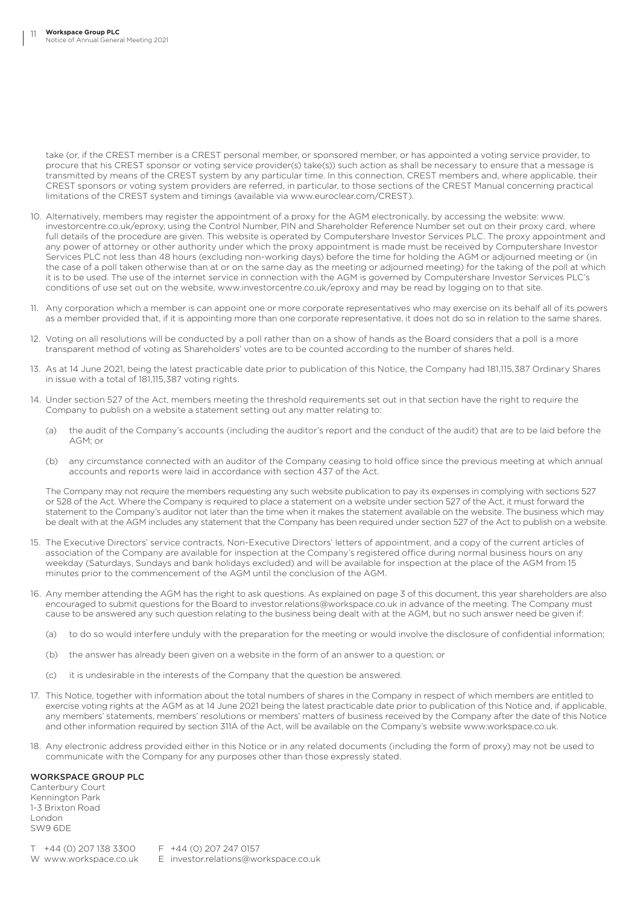take (or, if the CREST member is a CREST personal member, or sponsored member, or has appointed a voting service provider, to procure that his CREST sponsor or voting service provider(s) take(s)) such action as shall be necessary to ensure that a message is transmitted by means of the CREST system by any particular time. In this connection, CREST members and, where applicable, their CREST sponsors or voting system providers are referred, in particular, to those sections of the CREST Manual concerning practical limitations of the CREST system and timings (available via www.euroclear.com/CREST).

- 10. Alternatively, members may register the appointment of a proxy for the AGM electronically, by accessing the website: www. investorcentre.co.uk/eproxy, using the Control Number, PIN and Shareholder Reference Number set out on their proxy card, where full details of the procedure are given. This website is operated by Computershare Investor Services PLC. The proxy appointment and any power of attorney or other authority under which the proxy appointment is made must be received by Computershare Investor Services PLC not less than 48 hours (excluding non-working days) before the time for holding the AGM or adjourned meeting or (in the case of a poll taken otherwise than at or on the same day as the meeting or adjourned meeting) for the taking of the poll at which it is to be used. The use of the internet service in connection with the AGM is governed by Computershare Investor Services PLC's conditions of use set out on the website, www.investorcentre.co.uk/eproxy and may be read by logging on to that site.
- 11. Any corporation which a member is can appoint one or more corporate representatives who may exercise on its behalf all of its powers as a member provided that, if it is appointing more than one corporate representative, it does not do so in relation to the same shares.
- 12. Voting on all resolutions will be conducted by a poll rather than on a show of hands as the Board considers that a poll is a more transparent method of voting as Shareholders' votes are to be counted according to the number of shares held.
- 13. As at 14 June 2021, being the latest practicable date prior to publication of this Notice, the Company had 181,115,387 Ordinary Shares in issue with a total of 181,115,387 voting rights.
- 14. Under section 527 of the Act, members meeting the threshold requirements set out in that section have the right to require the Company to publish on a website a statement setting out any matter relating to:
	- (a) the audit of the Company's accounts (including the auditor's report and the conduct of the audit) that are to be laid before the AGM; or
	- (b) any circumstance connected with an auditor of the Company ceasing to hold office since the previous meeting at which annual accounts and reports were laid in accordance with section 437 of the Act.

The Company may not require the members requesting any such website publication to pay its expenses in complying with sections 527 or 528 of the Act. Where the Company is required to place a statement on a website under section 527 of the Act, it must forward the statement to the Company's auditor not later than the time when it makes the statement available on the website. The business which may be dealt with at the AGM includes any statement that the Company has been required under section 527 of the Act to publish on a website.

- 15. The Executive Directors' service contracts, Non-Executive Directors' letters of appointment, and a copy of the current articles of association of the Company are available for inspection at the Company's registered office during normal business hours on any weekday (Saturdays, Sundays and bank holidays excluded) and will be available for inspection at the place of the AGM from 15 minutes prior to the commencement of the AGM until the conclusion of the AGM.
- 16. Any member attending the AGM has the right to ask questions. As explained on page 3 of this document, this year shareholders are also encouraged to submit questions for the Board to investor.relations@workspace.co.uk in advance of the meeting. The Company must cause to be answered any such question relating to the business being dealt with at the AGM, but no such answer need be given if:
	- (a) to do so would interfere unduly with the preparation for the meeting or would involve the disclosure of confidential information;
	- (b) the answer has already been given on a website in the form of an answer to a question; or
	- (c) it is undesirable in the interests of the Company that the question be answered.
- 17. This Notice, together with information about the total numbers of shares in the Company in respect of which members are entitled to exercise voting rights at the AGM as at 14 June 2021 being the latest practicable date prior to publication of this Notice and, if applicable, any members' statements, members' resolutions or members' matters of business received by the Company after the date of this Notice and other information required by section 311A of the Act, will be available on the Company's website www.workspace.co.uk.
- 18. Any electronic address provided either in this Notice or in any related documents (including the form of proxy) may not be used to communicate with the Company for any purposes other than those expressly stated.

# WORKSPACE GROUP PLC

Canterbury Court Kennington Park 1-3 Brixton Road London SW9 6DE

T +44 (0) 207 138 3300 F +44 (0) 207 247 0157

W www.workspace.co.uk E investor.relations@workspace.co.uk